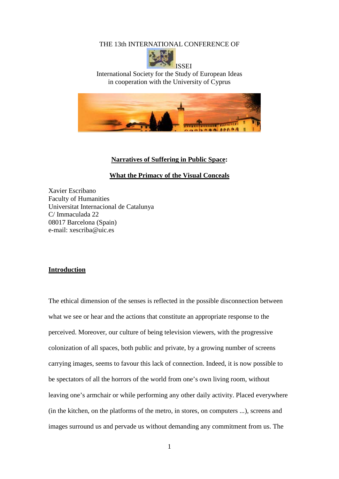THE 13th INTERNATIONAL CONFERENCE OF



International Society for the Study of European Ideas in cooperation with the University of Cyprus



### **Narratives of Suffering in Public Space:**

**What the Primacy of the Visual Conceals**

Xavier Escribano Faculty of Humanities Universitat Internacional de Catalunya C/ Immaculada 22 08017 Barcelona (Spain) e-mail: xescriba@uic.es

### **Introduction**

The ethical dimension of the senses is reflected in the possible disconnection between what we see or hear and the actions that constitute an appropriate response to the perceived. Moreover, our culture of being television viewers, with the progressive colonization of all spaces, both public and private, by a growing number of screens carrying images, seems to favour this lack of connection. Indeed, it is now possible to be spectators of all the horrors of the world from one's own living room, without leaving one's armchair or while performing any other daily activity. Placed everywhere (in the kitchen, on the platforms of the metro, in stores, on computers ...), screens and images surround us and pervade us without demanding any commitment from us. The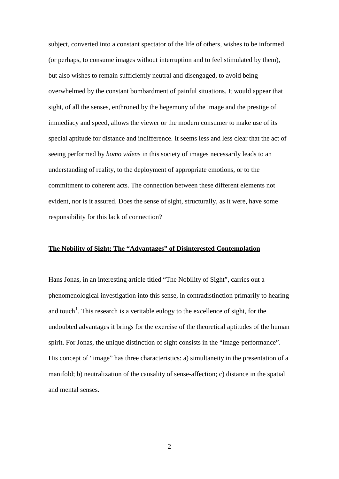subject, converted into a constant spectator of the life of others, wishes to be informed (or perhaps, to consume images without interruption and to feel stimulated by them), but also wishes to remain sufficiently neutral and disengaged, to avoid being overwhelmed by the constant bombardment of painful situations. It would appear that sight, of all the senses, enthroned by the hegemony of the image and the prestige of immediacy and speed, allows the viewer or the modern consumer to make use of its special aptitude for distance and indifference. It seems less and less clear that the act of seeing performed by *homo videns* in this society of images necessarily leads to an understanding of reality, to the deployment of appropriate emotions, or to the commitment to coherent acts. The connection between these different elements not evident, nor is it assured. Does the sense of sight, structurally, as it were, have some responsibility for this lack of connection?

## **The Nobility of Sight: The "Advantages" of Disinterested Contemplation**

Hans Jonas, in an interesting article titled "The Nobility of Sight", carries out a phenomenological investigation into this sense, in contradistinction primarily to hearing and touch<sup>[1](#page-11-0)</sup>. This research is a veritable eulogy to the excellence of sight, for the undoubted advantages it brings for the exercise of the theoretical aptitudes of the human spirit. For Jonas, the unique distinction of sight consists in the "image-performance". His concept of "image" has three characteristics: a) simultaneity in the presentation of a manifold; b) neutralization of the causality of sense-affection; c) distance in the spatial and mental senses.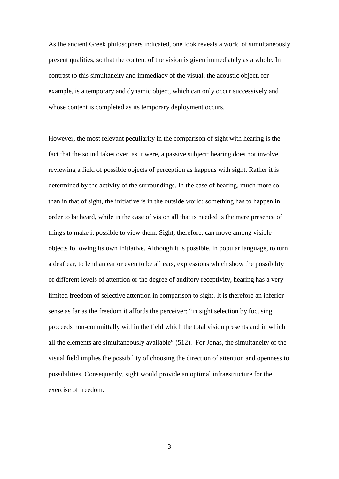As the ancient Greek philosophers indicated, one look reveals a world of simultaneously present qualities, so that the content of the vision is given immediately as a whole. In contrast to this simultaneity and immediacy of the visual, the acoustic object, for example, is a temporary and dynamic object, which can only occur successively and whose content is completed as its temporary deployment occurs.

However, the most relevant peculiarity in the comparison of sight with hearing is the fact that the sound takes over, as it were, a passive subject: hearing does not involve reviewing a field of possible objects of perception as happens with sight. Rather it is determined by the activity of the surroundings. In the case of hearing, much more so than in that of sight, the initiative is in the outside world: something has to happen in order to be heard, while in the case of vision all that is needed is the mere presence of things to make it possible to view them. Sight, therefore, can move among visible objects following its own initiative. Although it is possible, in popular language, to turn a deaf ear, to lend an ear or even to be all ears, expressions which show the possibility of different levels of attention or the degree of auditory receptivity, hearing has a very limited freedom of selective attention in comparison to sight. It is therefore an inferior sense as far as the freedom it affords the perceiver: "in sight selection by focusing proceeds non-committally within the field which the total vision presents and in which all the elements are simultaneously available" (512). For Jonas, the simultaneity of the visual field implies the possibility of choosing the direction of attention and openness to possibilities. Consequently, sight would provide an optimal infraestructure for the exercise of freedom.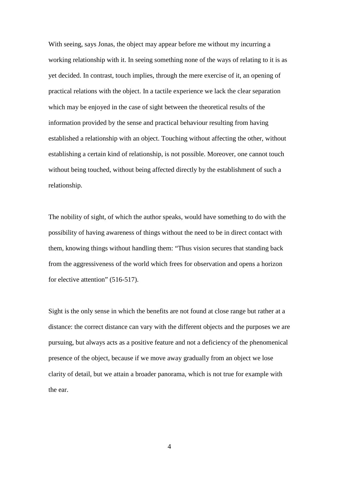With seeing, says Jonas, the object may appear before me without my incurring a working relationship with it. In seeing something none of the ways of relating to it is as yet decided. In contrast, touch implies, through the mere exercise of it, an opening of practical relations with the object. In a tactile experience we lack the clear separation which may be enjoyed in the case of sight between the theoretical results of the information provided by the sense and practical behaviour resulting from having established a relationship with an object. Touching without affecting the other, without establishing a certain kind of relationship, is not possible. Moreover, one cannot touch without being touched, without being affected directly by the establishment of such a relationship.

The nobility of sight, of which the author speaks, would have something to do with the possibility of having awareness of things without the need to be in direct contact with them, knowing things without handling them: "Thus vision secures that standing back from the aggressiveness of the world which frees for observation and opens a horizon for elective attention" (516-517).

Sight is the only sense in which the benefits are not found at close range but rather at a distance: the correct distance can vary with the different objects and the purposes we are pursuing, but always acts as a positive feature and not a deficiency of the phenomenical presence of the object, because if we move away gradually from an object we lose clarity of detail, but we attain a broader panorama, which is not true for example with the ear.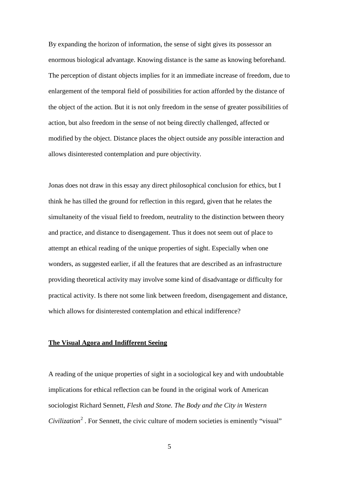By expanding the horizon of information, the sense of sight gives its possessor an enormous biological advantage. Knowing distance is the same as knowing beforehand. The perception of distant objects implies for it an immediate increase of freedom, due to enlargement of the temporal field of possibilities for action afforded by the distance of the object of the action. But it is not only freedom in the sense of greater possibilities of action, but also freedom in the sense of not being directly challenged, affected or modified by the object. Distance places the object outside any possible interaction and allows disinterested contemplation and pure objectivity.

Jonas does not draw in this essay any direct philosophical conclusion for ethics, but I think he has tilled the ground for reflection in this regard, given that he relates the simultaneity of the visual field to freedom, neutrality to the distinction between theory and practice, and distance to disengagement. Thus it does not seem out of place to attempt an ethical reading of the unique properties of sight. Especially when one wonders, as suggested earlier, if all the features that are described as an infrastructure providing theoretical activity may involve some kind of disadvantage or difficulty for practical activity. Is there not some link between freedom, disengagement and distance, which allows for disinterested contemplation and ethical indifference?

#### **The Visual Agora and Indifferent Seeing**

A reading of the unique properties of sight in a sociological key and with undoubtable implications for ethical reflection can be found in the original work of American sociologist Richard Sennett, *Flesh and Stone. The Body and the City in Western Civilization* [2](#page-11-1) . For Sennett, the civic culture of modern societies is eminently "visual"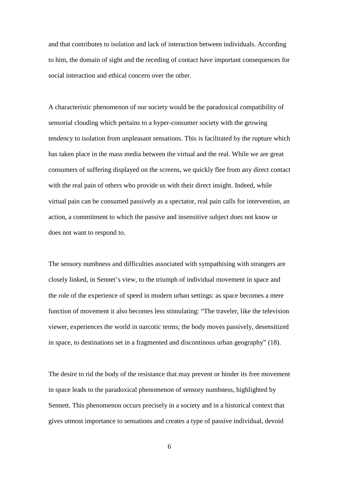and that contributes to isolation and lack of interaction between individuals. According to him, the domain of sight and the receding of contact have important consequences for social interaction and ethical concern over the other.

A characteristic phenomenon of our society would be the paradoxical compatibility of sensorial clouding which pertains to a hyper-consumer society with the growing tendency to isolation from unpleasant sensations. This is facilitated by the rupture which has taken place in the mass media between the virtual and the real. While we are great consumers of suffering displayed on the screens, we quickly flee from any direct contact with the real pain of others who provide us with their direct insight. Indeed, while virtual pain can be consumed passively as a spectator, real pain calls for intervention, an action, a commitment to which the passive and insensitive subject does not know or does not want to respond to.

The sensory numbness and difficulties associated with sympathising with strangers are closely linked, in Sennet's view, to the triumph of individual movement in space and the role of the experience of speed in modern urban settings: as space becomes a mere function of movement it also becomes less stimulating: "The traveler, like the television viewer, experiences the world in narcotic terms; the body moves passively, desensitized in space, to destinations set in a fragmented and discontinous urban geography" (18).

The desire to rid the body of the resistance that may prevent or hinder its free movement in space leads to the paradoxical phenomenon of sensory numbness, highlighted by Sennett. This phenomenon occurs precisely in a society and in a historical context that gives utmost importance to sensations and creates a type of passive individual, devoid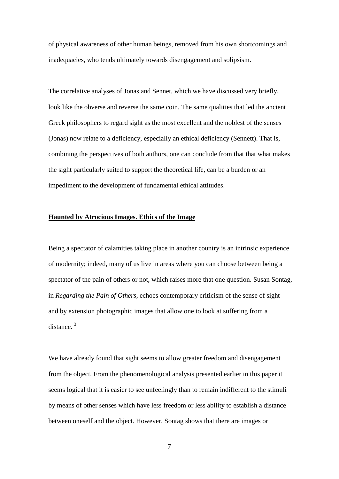of physical awareness of other human beings, removed from his own shortcomings and inadequacies, who tends ultimately towards disengagement and solipsism.

The correlative analyses of Jonas and Sennet, which we have discussed very briefly, look like the obverse and reverse the same coin. The same qualities that led the ancient Greek philosophers to regard sight as the most excellent and the noblest of the senses (Jonas) now relate to a deficiency, especially an ethical deficiency (Sennett). That is, combining the perspectives of both authors, one can conclude from that that what makes the sight particularly suited to support the theoretical life, can be a burden or an impediment to the development of fundamental ethical attitudes.

# **Haunted by Atrocious Images. Ethics of the Image**

Being a spectator of calamities taking place in another country is an intrinsic experience of modernity; indeed, many of us live in areas where you can choose between being a spectator of the pain of others or not, which raises more that one question. Susan Sontag, in *Regarding the Pain of Others*, echoes contemporary criticism of the sense of sight and by extension photographic images that allow one to look at suffering from a distance.<sup>[3](#page-11-2)</sup>

We have already found that sight seems to allow greater freedom and disengagement from the object. From the phenomenological analysis presented earlier in this paper it seems logical that it is easier to see unfeelingly than to remain indifferent to the stimuli by means of other senses which have less freedom or less ability to establish a distance between oneself and the object. However, Sontag shows that there are images or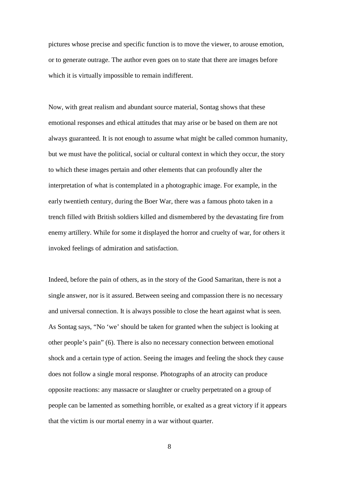pictures whose precise and specific function is to move the viewer, to arouse emotion, or to generate outrage. The author even goes on to state that there are images before which it is virtually impossible to remain indifferent.

Now, with great realism and abundant source material, Sontag shows that these emotional responses and ethical attitudes that may arise or be based on them are not always guaranteed. It is not enough to assume what might be called common humanity, but we must have the political, social or cultural context in which they occur, the story to which these images pertain and other elements that can profoundly alter the interpretation of what is contemplated in a photographic image. For example, in the early twentieth century, during the Boer War, there was a famous photo taken in a trench filled with British soldiers killed and dismembered by the devastating fire from enemy artillery. While for some it displayed the horror and cruelty of war, for others it invoked feelings of admiration and satisfaction.

Indeed, before the pain of others, as in the story of the Good Samaritan, there is not a single answer, nor is it assured. Between seeing and compassion there is no necessary and universal connection. It is always possible to close the heart against what is seen. As Sontag says, "No 'we' should be taken for granted when the subject is looking at other people's pain" (6). There is also no necessary connection between emotional shock and a certain type of action. Seeing the images and feeling the shock they cause does not follow a single moral response. Photographs of an atrocity can produce opposite reactions: any massacre or slaughter or cruelty perpetrated on a group of people can be lamented as something horrible, or exalted as a great victory if it appears that the victim is our mortal enemy in a war without quarter.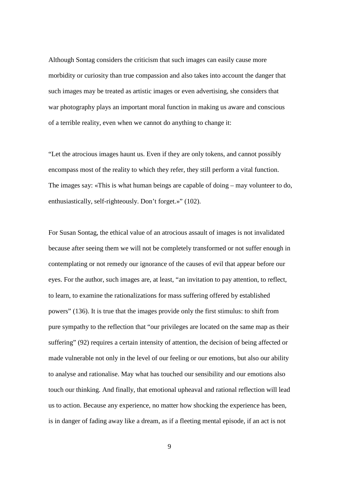Although Sontag considers the criticism that such images can easily cause more morbidity or curiosity than true compassion and also takes into account the danger that such images may be treated as artistic images or even advertising, she considers that war photography plays an important moral function in making us aware and conscious of a terrible reality, even when we cannot do anything to change it:

"Let the atrocious images haunt us. Even if they are only tokens, and cannot possibly encompass most of the reality to which they refer, they still perform a vital function. The images say: «This is what human beings are capable of doing – may volunteer to do, enthusiastically, self-righteously. Don't forget.»" (102).

For Susan Sontag, the ethical value of an atrocious assault of images is not invalidated because after seeing them we will not be completely transformed or not suffer enough in contemplating or not remedy our ignorance of the causes of evil that appear before our eyes. For the author, such images are, at least, "an invitation to pay attention, to reflect, to learn, to examine the rationalizations for mass suffering offered by established powers" (136). It is true that the images provide only the first stimulus: to shift from pure sympathy to the reflection that "our privileges are located on the same map as their suffering" (92) requires a certain intensity of attention, the decision of being affected or made vulnerable not only in the level of our feeling or our emotions, but also our ability to analyse and rationalise. May what has touched our sensibility and our emotions also touch our thinking. And finally, that emotional upheaval and rational reflection will lead us to action. Because any experience, no matter how shocking the experience has been, is in danger of fading away like a dream, as if a fleeting mental episode, if an act is not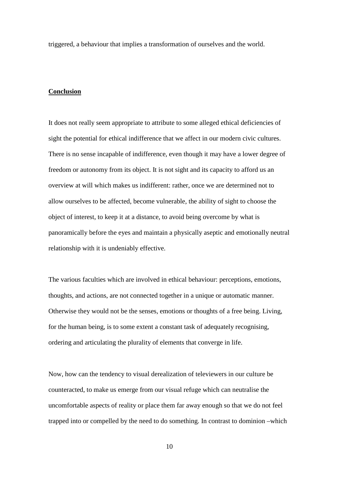triggered, a behaviour that implies a transformation of ourselves and the world.

# **Conclusion**

It does not really seem appropriate to attribute to some alleged ethical deficiencies of sight the potential for ethical indifference that we affect in our modern civic cultures. There is no sense incapable of indifference, even though it may have a lower degree of freedom or autonomy from its object. It is not sight and its capacity to afford us an overview at will which makes us indifferent: rather, once we are determined not to allow ourselves to be affected, become vulnerable, the ability of sight to choose the object of interest, to keep it at a distance, to avoid being overcome by what is panoramically before the eyes and maintain a physically aseptic and emotionally neutral relationship with it is undeniably effective.

The various faculties which are involved in ethical behaviour: perceptions, emotions, thoughts, and actions, are not connected together in a unique or automatic manner. Otherwise they would not be the senses, emotions or thoughts of a free being. Living, for the human being, is to some extent a constant task of adequately recognising, ordering and articulating the plurality of elements that converge in life.

Now, how can the tendency to visual derealization of televiewers in our culture be counteracted, to make us emerge from our visual refuge which can neutralise the uncomfortable aspects of reality or place them far away enough so that we do not feel trapped into or compelled by the need to do something. In contrast to dominion –which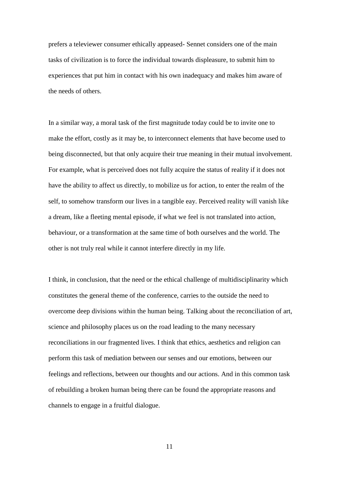prefers a televiewer consumer ethically appeased- Sennet considers one of the main tasks of civilization is to force the individual towards displeasure, to submit him to experiences that put him in contact with his own inadequacy and makes him aware of the needs of others.

In a similar way, a moral task of the first magnitude today could be to invite one to make the effort, costly as it may be, to interconnect elements that have become used to being disconnected, but that only acquire their true meaning in their mutual involvement. For example, what is perceived does not fully acquire the status of reality if it does not have the ability to affect us directly, to mobilize us for action, to enter the realm of the self, to somehow transform our lives in a tangible eay. Perceived reality will vanish like a dream, like a fleeting mental episode, if what we feel is not translated into action, behaviour, or a transformation at the same time of both ourselves and the world. The other is not truly real while it cannot interfere directly in my life.

I think, in conclusion, that the need or the ethical challenge of multidisciplinarity which constitutes the general theme of the conference, carries to the outside the need to overcome deep divisions within the human being. Talking about the reconciliation of art, science and philosophy places us on the road leading to the many necessary reconciliations in our fragmented lives. I think that ethics, aesthetics and religion can perform this task of mediation between our senses and our emotions, between our feelings and reflections, between our thoughts and our actions. And in this common task of rebuilding a broken human being there can be found the appropriate reasons and channels to engage in a fruitful dialogue.